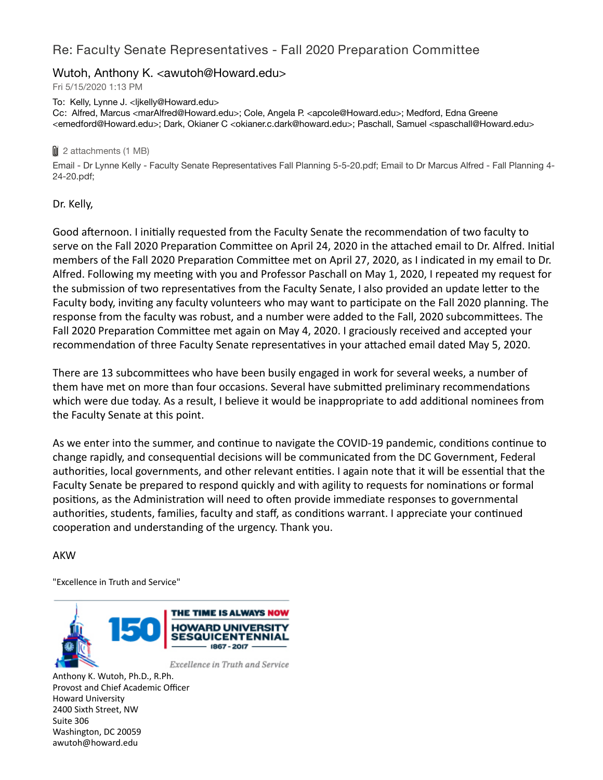# Re: Faculty Senate Representatives - Fall 2020 Preparation Committee

# Wutoh, Anthony K. <awutoh@Howard.edu>

Fri 5/15/2020 1:13 PM

To: Kelly, Lynne J. <ljkelly@Howard.edu> Cc: Alfred, Marcus <marAlfred@Howard.edu>; Cole, Angela P. <apcole@Howard.edu>; Medford, Edna Greene <emedford@Howard.edu>; Dark, Okianer C <okianer.c.dark@howard.edu>; Paschall, Samuel <spaschall@Howard.edu>

#### **0** 2 attachments (1 MB)

Email - Dr Lynne Kelly - Faculty Senate Representatives Fall Planning 5-5-20.pdf; Email to Dr Marcus Alfred - Fall Planning 4- 24-20.pdf;

## Dr. Kelly,

Good afternoon. I initially requested from the Faculty Senate the recommendation of two faculty to serve on the Fall 2020 Preparation Committee on April 24, 2020 in the attached email to Dr. Alfred. Initial members of the Fall 2020 Preparation Committee met on April 27, 2020, as I indicated in my email to Dr. Alfred. Following my meeting with you and Professor Paschall on May 1, 2020, I repeated my request for the submission of two representatives from the Faculty Senate, I also provided an update letter to the Faculty body, inviting any faculty volunteers who may want to participate on the Fall 2020 planning. The response from the faculty was robust, and a number were added to the Fall, 2020 subcommittees. The Fall 2020 Preparation Committee met again on May 4, 2020. I graciously received and accepted your recommendation of three Faculty Senate representatives in your attached email dated May 5, 2020.

There are 13 subcommittees who have been busily engaged in work for several weeks, a number of them have met on more than four occasions. Several have submitted preliminary recommendations which were due today. As a result, I believe it would be inappropriate to add additional nominees from the Faculty Senate at this point.

As we enter into the summer, and continue to navigate the COVID-19 pandemic, conditions continue to change rapidly, and consequential decisions will be communicated from the DC Government, Federal authorities, local governments, and other relevant entities. I again note that it will be essential that the Faculty Senate be prepared to respond quickly and with agility to requests for nominations or formal positions, as the Administration will need to often provide immediate responses to governmental authorities, students, families, faculty and staff, as conditions warrant. I appreciate your continued cooperation and understanding of the urgency. Thank you.

### AKW

"Excellence in Truth and Service"



Anthony K. Wutoh, Ph.D., R.Ph. Provost and Chief Academic Officer Howard University 2400 Sixth Street, NW Suite 306 Washington, DC 20059 awutoh@howard.edu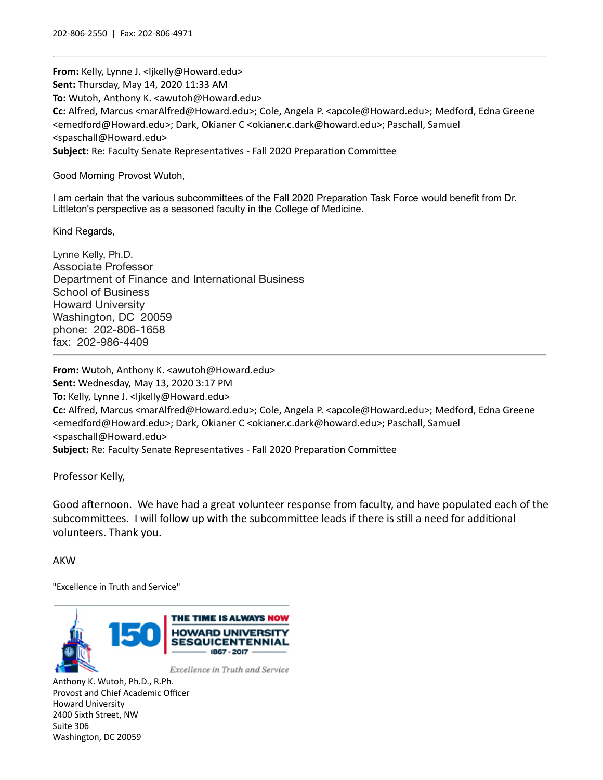**From:** Kelly, Lynne J. <ljkelly@Howard.edu> **Sent:** Thursday, May 14, 2020 11:33 AM **To:** Wutoh, Anthony K. <awutoh@Howard.edu> **Cc:** Alfred, Marcus <marAlfred@Howard.edu>; Cole, Angela P. <apcole@Howard.edu>; Medford, Edna Greene <emedford@Howard.edu>; Dark, Okianer C <okianer.c.dark@howard.edu>; Paschall, Samuel <spaschall@Howard.edu> Subject: Re: Faculty Senate Representatives - Fall 2020 Preparation Committee

Good Morning Provost Wutoh,

I am certain that the various subcommittees of the Fall 2020 Preparation Task Force would benefit from Dr. Littleton's perspective as a seasoned faculty in the College of Medicine.

Kind Regards,

Lynne Kelly, Ph.D. Associate Professor Department of Finance and International Business School of Business Howard University Washington, DC 20059 phone: 202-806-1658 fax: 202-986-4409

**From:** Wutoh, Anthony K. <awutoh@Howard.edu> **Sent:** Wednesday, May 13, 2020 3:17 PM **To:** Kelly, Lynne J. <ljkelly@Howard.edu> **Cc:** Alfred, Marcus <marAlfred@Howard.edu>; Cole, Angela P. <apcole@Howard.edu>; Medford, Edna Greene <emedford@Howard.edu>; Dark, Okianer C <okianer.c.dark@howard.edu>; Paschall, Samuel <spaschall@Howard.edu> Subject: Re: Faculty Senate Representatives - Fall 2020 Preparation Committee

Professor Kelly,

Good afternoon. We have had a great volunteer response from faculty, and have populated each of the subcommittees. I will follow up with the subcommittee leads if there is still a need for additional volunteers. Thank you.

#### AKW

"Excellence in Truth and Service"



Anthony K. Wutoh, Ph.D., R.Ph. Provost and Chief Academic Officer Howard University 2400 Sixth Street, NW Suite 306 Washington, DC 20059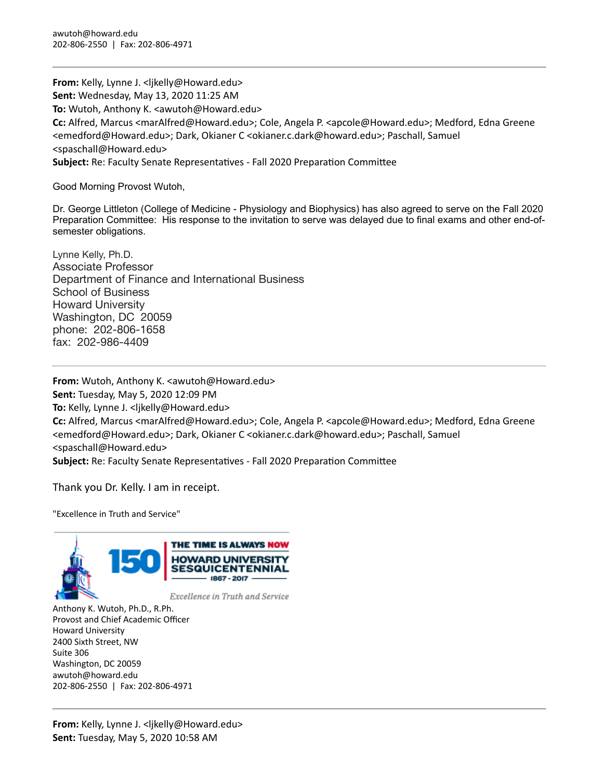**From:** Kelly, Lynne J. <ljkelly@Howard.edu> **Sent:** Wednesday, May 13, 2020 11:25 AM **To:** Wutoh, Anthony K. <awutoh@Howard.edu> **Cc:** Alfred, Marcus <marAlfred@Howard.edu>; Cole, Angela P. <apcole@Howard.edu>; Medford, Edna Greene <emedford@Howard.edu>; Dark, Okianer C <okianer.c.dark@howard.edu>; Paschall, Samuel <spaschall@Howard.edu> **Subject:** Re: Faculty Senate Representatives - Fall 2020 Preparation Committee

Good Morning Provost Wutoh,

Dr. George Littleton (College of Medicine - Physiology and Biophysics) has also agreed to serve on the Fall 2020 Preparation Committee: His response to the invitation to serve was delayed due to final exams and other end-ofsemester obligations.

Lynne Kelly, Ph.D. Associate Professor Department of Finance and International Business School of Business Howard University Washington, DC 20059 phone: 202-806-1658 fax: 202-986-4409

**From:** Wutoh, Anthony K. <awutoh@Howard.edu> **Sent:** Tuesday, May 5, 2020 12:09 PM **To:** Kelly, Lynne J. <ljkelly@Howard.edu> **Cc:** Alfred, Marcus <marAlfred@Howard.edu>; Cole, Angela P. <apcole@Howard.edu>; Medford, Edna Greene <emedford@Howard.edu>; Dark, Okianer C <okianer.c.dark@howard.edu>; Paschall, Samuel <spaschall@Howard.edu> **Subject:** Re: Faculty Senate Representatives - Fall 2020 Preparation Committee

Thank you Dr. Kelly. I am in receipt.

"Excellence in Truth and Service"



Anthony K. Wutoh, Ph.D., R.Ph. Provost and Chief Academic Officer Howard University 2400 Sixth Street, NW Suite 306 Washington, DC 20059 awutoh@howard.edu 202-806-2550 | Fax: 202-806-4971

**From:** Kelly, Lynne J. <ljkelly@Howard.edu> **Sent:** Tuesday, May 5, 2020 10:58 AM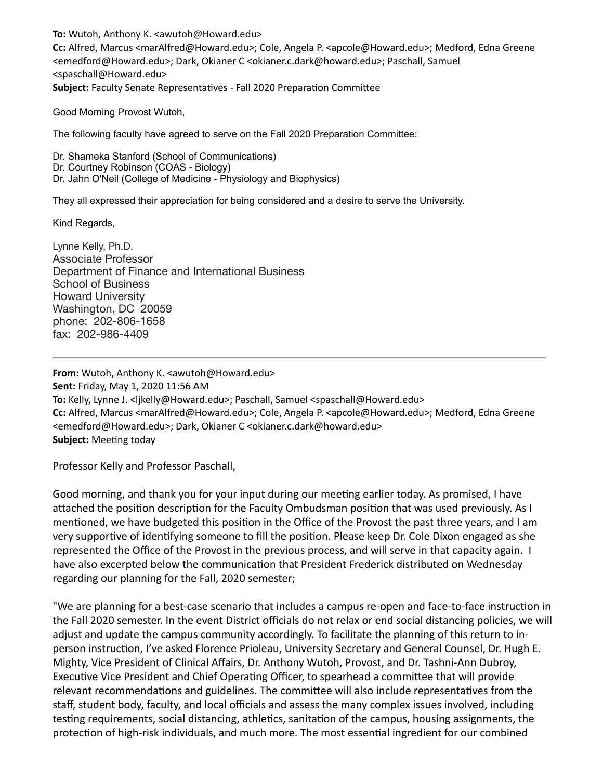**To:** Wutoh, Anthony K. <awutoh@Howard.edu> **Cc:** Alfred, Marcus <marAlfred@Howard.edu>; Cole, Angela P. <apcole@Howard.edu>; Medford, Edna Greene <emedford@Howard.edu>; Dark, Okianer C <okianer.c.dark@howard.edu>; Paschall, Samuel <spaschall@Howard.edu> **Subject:** Faculty Senate Representatives - Fall 2020 Preparation Committee

Good Morning Provost Wutoh,

The following faculty have agreed to serve on the Fall 2020 Preparation Committee:

Dr. Shameka Stanford (School of Communications) Dr. Courtney Robinson (COAS - Biology) Dr. Jahn O'Neil (College of Medicine - Physiology and Biophysics)

They all expressed their appreciation for being considered and a desire to serve the University.

Kind Regards,

Lynne Kelly, Ph.D. Associate Professor Department of Finance and International Business School of Business Howard University Washington, DC 20059 phone: 202-806-1658 fax: 202-986-4409

**From:** Wutoh, Anthony K. <awutoh@Howard.edu> **Sent:** Friday, May 1, 2020 11:56 AM **To:** Kelly, Lynne J. <ljkelly@Howard.edu>; Paschall, Samuel <spaschall@Howard.edu> **Cc:** Alfred, Marcus <marAlfred@Howard.edu>; Cole, Angela P. <apcole@Howard.edu>; Medford, Edna Greene <emedford@Howard.edu>; Dark, Okianer C <okianer.c.dark@howard.edu> **Subject: Meeting today** 

Professor Kelly and Professor Paschall,

Good morning, and thank you for your input during our meeting earlier today. As promised, I have attached the position description for the Faculty Ombudsman position that was used previously. As I mentioned, we have budgeted this position in the Office of the Provost the past three years, and I am very supportive of identifying someone to fill the position. Please keep Dr. Cole Dixon engaged as she represented the Office of the Provost in the previous process, and will serve in that capacity again. I have also excerpted below the communication that President Frederick distributed on Wednesday regarding our planning for the Fall, 2020 semester;

"We are planning for a best-case scenario that includes a campus re-open and face-to-face instruction in the Fall 2020 semester. In the event District officials do not relax or end social distancing policies, we will adjust and update the campus community accordingly. To facilitate the planning of this return to inperson instruction, I've asked Florence Prioleau, University Secretary and General Counsel, Dr. Hugh E. Mighty, Vice President of Clinical Affairs, Dr. Anthony Wutoh, Provost, and Dr. Tashni-Ann Dubroy, Executive Vice President and Chief Operating Officer, to spearhead a committee that will provide relevant recommendations and guidelines. The committee will also include representatives from the staff, student body, faculty, and local officials and assess the many complex issues involved, including testing requirements, social distancing, athletics, sanitation of the campus, housing assignments, the protection of high-risk individuals, and much more. The most essential ingredient for our combined